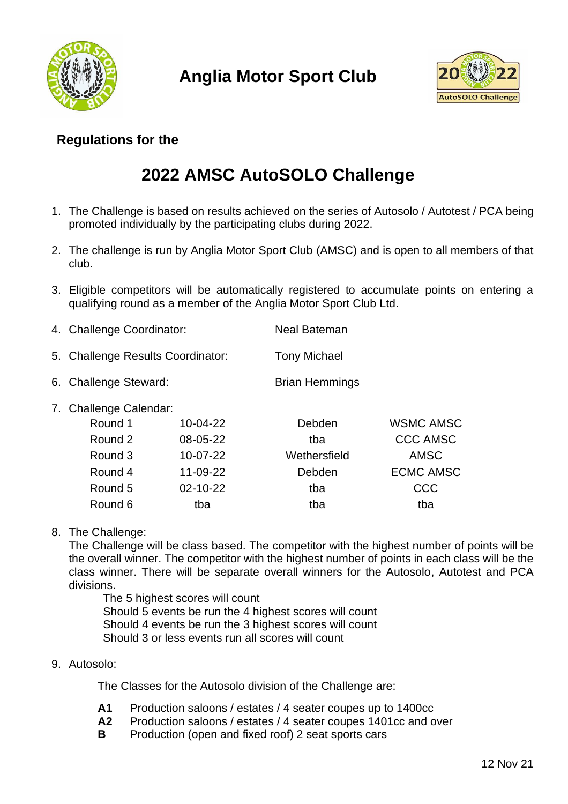

**Anglia Motor Sport Club**



## **Regulations for the**

# **2022 AMSC AutoSOLO Challenge**

- 1. The Challenge is based on results achieved on the series of Autosolo / Autotest / PCA being promoted individually by the participating clubs during 2022.
- 2. The challenge is run by Anglia Motor Sport Club (AMSC) and is open to all members of that club.
- 3. Eligible competitors will be automatically registered to accumulate points on entering a qualifying round as a member of the Anglia Motor Sport Club Ltd.
- 4. Challenge Coordinator: Neal Bateman
- 5. Challenge Results Coordinator: Tony Michael
- 6. Challenge Steward: Brian Hemmings
- 7. Challenge Calendar:

| Round 1 | 10-04-22 | Debden       | <b>WSMC AMSC</b> |
|---------|----------|--------------|------------------|
| Round 2 | 08-05-22 | tba          | <b>CCC AMSC</b>  |
| Round 3 | 10-07-22 | Wethersfield | <b>AMSC</b>      |
| Round 4 | 11-09-22 | Debden       | <b>ECMC AMSC</b> |
| Round 5 | 02-10-22 | tba          | CCC              |
| Round 6 | tba      | tba          | tba              |

8. The Challenge:

The Challenge will be class based. The competitor with the highest number of points will be the overall winner. The competitor with the highest number of points in each class will be the class winner. There will be separate overall winners for the Autosolo, Autotest and PCA divisions.

The 5 highest scores will count Should 5 events be run the 4 highest scores will count Should 4 events be run the 3 highest scores will count Should 3 or less events run all scores will count

## 9. Autosolo:

The Classes for the Autosolo division of the Challenge are:

- **A1** Production saloons / estates / 4 seater coupes up to 1400cc
- **A2** Production saloons / estates / 4 seater coupes 1401cc and over
- **B** Production (open and fixed roof) 2 seat sports cars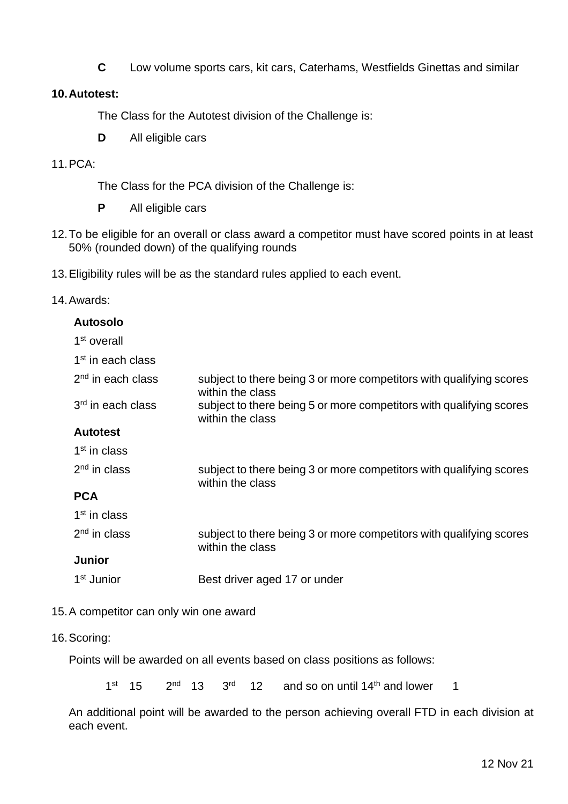**C** Low volume sports cars, kit cars, Caterhams, Westfields Ginettas and similar

### **10.Autotest:**

The Class for the Autotest division of the Challenge is:

**D** All eligible cars

#### 11.PCA:

The Class for the PCA division of the Challenge is:

- **P** All eligible cars
- 12.To be eligible for an overall or class award a competitor must have scored points in at least 50% (rounded down) of the qualifying rounds
- 13.Eligibility rules will be as the standard rules applied to each event.

#### 14.Awards:

| <b>Autosolo</b>               |                                                                                         |
|-------------------------------|-----------------------------------------------------------------------------------------|
| 1 <sup>st</sup> overall       |                                                                                         |
| 1 <sup>st</sup> in each class |                                                                                         |
| $2nd$ in each class           | subject to there being 3 or more competitors with qualifying scores<br>within the class |
| 3 <sup>rd</sup> in each class | subject to there being 5 or more competitors with qualifying scores<br>within the class |
| <b>Autotest</b>               |                                                                                         |
| 1 <sup>st</sup> in class      |                                                                                         |
| $2nd$ in class                | subject to there being 3 or more competitors with qualifying scores<br>within the class |
| <b>PCA</b>                    |                                                                                         |
| 1 <sup>st</sup> in class      |                                                                                         |
| $2nd$ in class                | subject to there being 3 or more competitors with qualifying scores<br>within the class |
| <b>Junior</b>                 |                                                                                         |
| 1 <sup>st</sup> Junior        | Best driver aged 17 or under                                                            |

#### 15.A competitor can only win one award

#### 16.Scoring:

Points will be awarded on all events based on class positions as follows:

1 st 15 2  $2^{nd}$  13  $3^{rd}$  12 and so on until  $14<sup>th</sup>$  and lower 1

An additional point will be awarded to the person achieving overall FTD in each division at each event.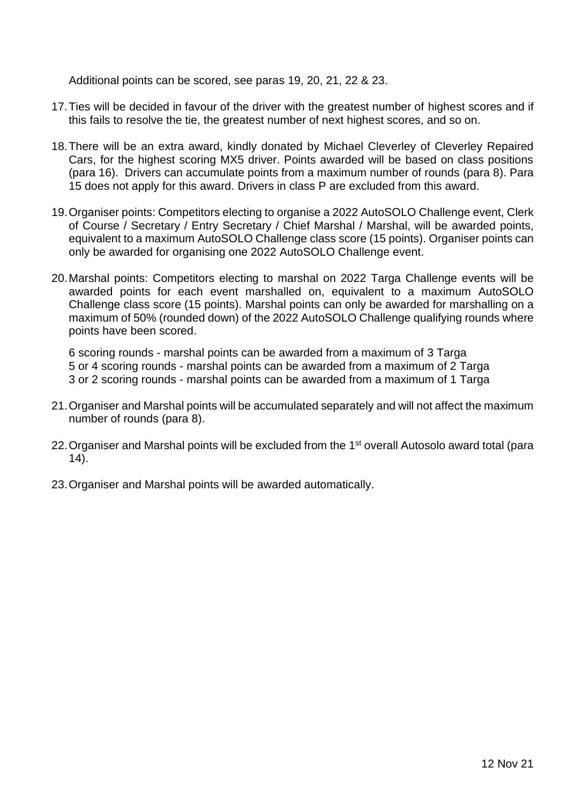Additional points can be scored, see paras 19, 20, 21, 22 & 23.

- 17.Ties will be decided in favour of the driver with the greatest number of highest scores and if this fails to resolve the tie, the greatest number of next highest scores, and so on.
- 18.There will be an extra award, kindly donated by Michael Cleverley of Cleverley Repaired Cars, for the highest scoring MX5 driver. Points awarded will be based on class positions (para 16). Drivers can accumulate points from a maximum number of rounds (para 8). Para 15 does not apply for this award. Drivers in class P are excluded from this award.
- 19.Organiser points: Competitors electing to organise a 2022 AutoSOLO Challenge event, Clerk of Course / Secretary / Entry Secretary / Chief Marshal / Marshal, will be awarded points, equivalent to a maximum AutoSOLO Challenge class score (15 points). Organiser points can only be awarded for organising one 2022 AutoSOLO Challenge event.
- 20.Marshal points: Competitors electing to marshal on 2022 Targa Challenge events will be awarded points for each event marshalled on, equivalent to a maximum AutoSOLO Challenge class score (15 points). Marshal points can only be awarded for marshalling on a maximum of 50% (rounded down) of the 2022 AutoSOLO Challenge qualifying rounds where points have been scored.

6 scoring rounds - marshal points can be awarded from a maximum of 3 Targa 5 or 4 scoring rounds - marshal points can be awarded from a maximum of 2 Targa 3 or 2 scoring rounds - marshal points can be awarded from a maximum of 1 Targa

- 21.Organiser and Marshal points will be accumulated separately and will not affect the maximum number of rounds (para 8).
- 22. Organiser and Marshal points will be excluded from the 1<sup>st</sup> overall Autosolo award total (para 14).
- 23.Organiser and Marshal points will be awarded automatically.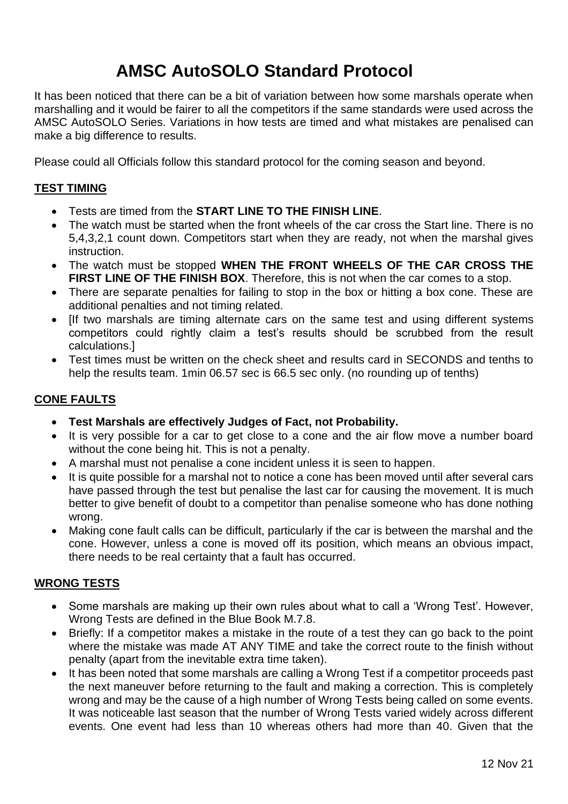# **AMSC AutoSOLO Standard Protocol**

It has been noticed that there can be a bit of variation between how some marshals operate when marshalling and it would be fairer to all the competitors if the same standards were used across the AMSC AutoSOLO Series. Variations in how tests are timed and what mistakes are penalised can make a big difference to results.

Please could all Officials follow this standard protocol for the coming season and beyond.

## **TEST TIMING**

- Tests are timed from the **START LINE TO THE FINISH LINE**.
- The watch must be started when the front wheels of the car cross the Start line. There is no 5,4,3,2,1 count down. Competitors start when they are ready, not when the marshal gives instruction.
- The watch must be stopped **WHEN THE FRONT WHEELS OF THE CAR CROSS THE FIRST LINE OF THE FINISH BOX**. Therefore, this is not when the car comes to a stop.
- There are separate penalties for failing to stop in the box or hitting a box cone. These are additional penalties and not timing related.
- [If two marshals are timing alternate cars on the same test and using different systems competitors could rightly claim a test's results should be scrubbed from the result calculations.]
- Test times must be written on the check sheet and results card in SECONDS and tenths to help the results team. 1min 06.57 sec is 66.5 sec only. (no rounding up of tenths)

## **CONE FAULTS**

- **Test Marshals are effectively Judges of Fact, not Probability.**
- It is very possible for a car to get close to a cone and the air flow move a number board without the cone being hit. This is not a penalty.
- A marshal must not penalise a cone incident unless it is seen to happen.
- It is quite possible for a marshal not to notice a cone has been moved until after several cars have passed through the test but penalise the last car for causing the movement. It is much better to give benefit of doubt to a competitor than penalise someone who has done nothing wrong.
- Making cone fault calls can be difficult, particularly if the car is between the marshal and the cone. However, unless a cone is moved off its position, which means an obvious impact, there needs to be real certainty that a fault has occurred.

## **WRONG TESTS**

- Some marshals are making up their own rules about what to call a 'Wrong Test'. However, Wrong Tests are defined in the Blue Book M.7.8.
- Briefly: If a competitor makes a mistake in the route of a test they can go back to the point where the mistake was made AT ANY TIME and take the correct route to the finish without penalty (apart from the inevitable extra time taken).
- It has been noted that some marshals are calling a Wrong Test if a competitor proceeds past the next maneuver before returning to the fault and making a correction. This is completely wrong and may be the cause of a high number of Wrong Tests being called on some events. It was noticeable last season that the number of Wrong Tests varied widely across different events. One event had less than 10 whereas others had more than 40. Given that the